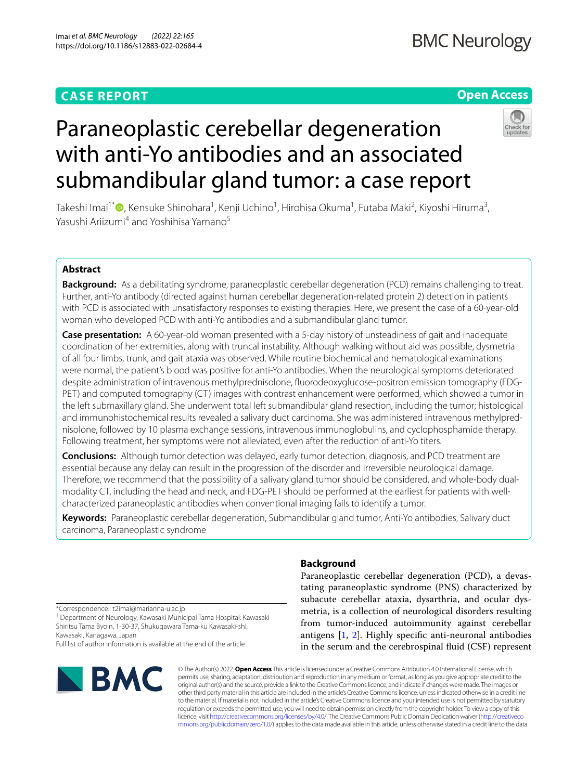# **CASE REPORT**

# **Open Access**



# Paraneoplastic cerebellar degeneration with anti-Yo antibodies and an associated submandibular gland tumor: a case report

Takeshi Imai<sup>1\*</sup>®[,](http://orcid.org/0000-0001-9905-820X) Kensuke Shinohara<sup>1</sup>, Kenji Uchino<sup>1</sup>, Hirohisa Okuma<sup>1</sup>, Futaba Maki<sup>2</sup>, Kiyoshi Hiruma<sup>3</sup>, Yasushi Ariizumi<sup>4</sup> and Yoshihisa Yamano<sup>5</sup>

# **Abstract**

**Background:** As a debilitating syndrome, paraneoplastic cerebellar degeneration (PCD) remains challenging to treat. Further, anti-Yo antibody (directed against human cerebellar degeneration-related protein 2) detection in patients with PCD is associated with unsatisfactory responses to existing therapies. Here, we present the case of a 60-year-old woman who developed PCD with anti-Yo antibodies and a submandibular gland tumor.

**Case presentation:** A 60-year-old woman presented with a 5-day history of unsteadiness of gait and inadequate coordination of her extremities, along with truncal instability. Although walking without aid was possible, dysmetria of all four limbs, trunk, and gait ataxia was observed. While routine biochemical and hematological examinations were normal, the patient's blood was positive for anti-Yo antibodies. When the neurological symptoms deteriorated despite administration of intravenous methylprednisolone, fuorodeoxyglucose-positron emission tomography (FDG-PET) and computed tomography (CT) images with contrast enhancement were performed, which showed a tumor in the left submaxillary gland. She underwent total left submandibular gland resection, including the tumor; histological and immunohistochemical results revealed a salivary duct carcinoma. She was administered intravenous methylprednisolone, followed by 10 plasma exchange sessions, intravenous immunoglobulins, and cyclophosphamide therapy. Following treatment, her symptoms were not alleviated, even after the reduction of anti-Yo titers.

**Conclusions:** Although tumor detection was delayed, early tumor detection, diagnosis, and PCD treatment are essential because any delay can result in the progression of the disorder and irreversible neurological damage. Therefore, we recommend that the possibility of a salivary gland tumor should be considered, and whole-body dualmodality CT, including the head and neck, and FDG-PET should be performed at the earliest for patients with wellcharacterized paraneoplastic antibodies when conventional imaging fails to identify a tumor.

**Keywords:** Paraneoplastic cerebellar degeneration, Submandibular gland tumor, Anti-Yo antibodies, Salivary duct carcinoma, Paraneoplastic syndrome

# **Background**

Paraneoplastic cerebellar degeneration (PCD), a devastating paraneoplastic syndrome (PNS) characterized by subacute cerebellar ataxia, dysarthria, and ocular dysmetria, is a collection of neurological disorders resulting from tumor-induced autoimmunity against cerebellar antigens [[1,](#page-4-0) [2\]](#page-4-1). Highly specifc anti-neuronal antibodies in the serum and the cerebrospinal fuid (CSF) represent

\*Correspondence: t2imai@marianna-u.ac.jp

<sup>1</sup> Department of Neurology, Kawasaki Municipal Tama Hospital: Kawasaki Shiritsu Tama Byoin, 1-30-37, Shukugawara Tama-ku Kawasaki-shi, Kawasaki, Kanagawa, Japan

Full list of author information is available at the end of the article



© The Author(s) 2022. **Open Access** This article is licensed under a Creative Commons Attribution 4.0 International License, which permits use, sharing, adaptation, distribution and reproduction in any medium or format, as long as you give appropriate credit to the original author(s) and the source, provide a link to the Creative Commons licence, and indicate if changes were made. The images or other third party material in this article are included in the article's Creative Commons licence, unless indicated otherwise in a credit line to the material. If material is not included in the article's Creative Commons licence and your intended use is not permitted by statutory regulation or exceeds the permitted use, you will need to obtain permission directly from the copyright holder. To view a copy of this licence, visit [http://creativecommons.org/licenses/by/4.0/.](http://creativecommons.org/licenses/by/4.0/) The Creative Commons Public Domain Dedication waiver ([http://creativeco](http://creativecommons.org/publicdomain/zero/1.0/) [mmons.org/publicdomain/zero/1.0/](http://creativecommons.org/publicdomain/zero/1.0/)) applies to the data made available in this article, unless otherwise stated in a credit line to the data.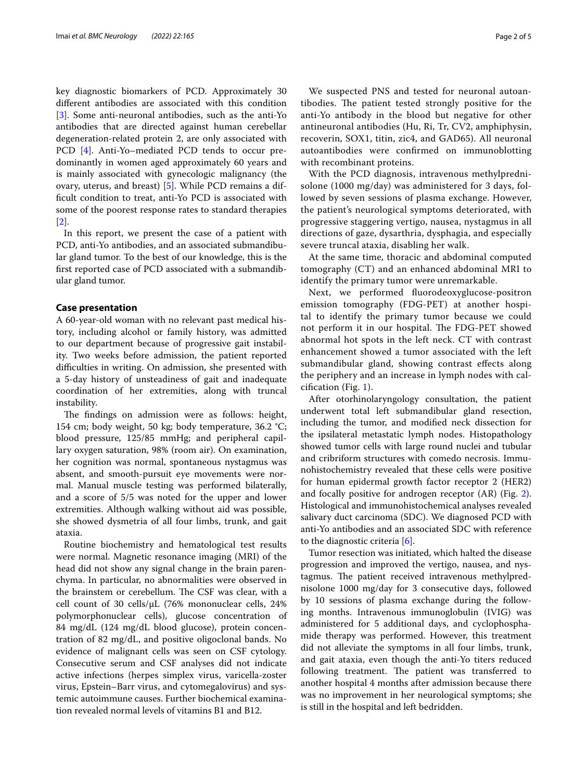key diagnostic biomarkers of PCD. Approximately 30 diferent antibodies are associated with this condition [[3\]](#page-4-2). Some anti-neuronal antibodies, such as the anti-Yo antibodies that are directed against human cerebellar degeneration-related protein 2, are only associated with PCD [[4\]](#page-4-3). Anti-Yo–mediated PCD tends to occur predominantly in women aged approximately 60 years and is mainly associated with gynecologic malignancy (the ovary, uterus, and breast) [\[5](#page-4-4)]. While PCD remains a difficult condition to treat, anti-Yo PCD is associated with some of the poorest response rates to standard therapies [[2\]](#page-4-1).

In this report, we present the case of a patient with PCD, anti-Yo antibodies, and an associated submandibular gland tumor. To the best of our knowledge, this is the frst reported case of PCD associated with a submandibular gland tumor.

#### **Case presentation**

A 60-year-old woman with no relevant past medical history, including alcohol or family history, was admitted to our department because of progressive gait instability. Two weeks before admission, the patient reported difculties in writing. On admission, she presented with a 5-day history of unsteadiness of gait and inadequate coordination of her extremities, along with truncal instability.

The findings on admission were as follows: height, 154 cm; body weight, 50 kg; body temperature, 36.2 °C; blood pressure, 125/85 mmHg; and peripheral capillary oxygen saturation, 98% (room air). On examination, her cognition was normal, spontaneous nystagmus was absent, and smooth-pursuit eye movements were normal. Manual muscle testing was performed bilaterally, and a score of 5/5 was noted for the upper and lower extremities. Although walking without aid was possible, she showed dysmetria of all four limbs, trunk, and gait ataxia.

Routine biochemistry and hematological test results were normal. Magnetic resonance imaging (MRI) of the head did not show any signal change in the brain parenchyma. In particular, no abnormalities were observed in the brainstem or cerebellum. The CSF was clear, with a cell count of 30 cells/μL (76% mononuclear cells, 24% polymorphonuclear cells), glucose concentration of 84 mg/dL (124 mg/dL blood glucose), protein concentration of 82 mg/dL, and positive oligoclonal bands. No evidence of malignant cells was seen on CSF cytology. Consecutive serum and CSF analyses did not indicate active infections (herpes simplex virus, varicella-zoster virus, Epstein–Barr virus, and cytomegalovirus) and systemic autoimmune causes. Further biochemical examination revealed normal levels of vitamins B1 and B12.

We suspected PNS and tested for neuronal autoantibodies. The patient tested strongly positive for the anti-Yo antibody in the blood but negative for other antineuronal antibodies (Hu, Ri, Tr, CV2, amphiphysin, recoverin, SOX1, titin, zic4, and GAD65). All neuronal autoantibodies were confrmed on immunoblotting with recombinant proteins.

With the PCD diagnosis, intravenous methylprednisolone (1000 mg/day) was administered for 3 days, followed by seven sessions of plasma exchange. However, the patient's neurological symptoms deteriorated, with progressive staggering vertigo, nausea, nystagmus in all directions of gaze, dysarthria, dysphagia, and especially severe truncal ataxia, disabling her walk.

At the same time, thoracic and abdominal computed tomography (CT) and an enhanced abdominal MRI to identify the primary tumor were unremarkable.

Next, we performed fuorodeoxyglucose-positron emission tomography (FDG-PET) at another hospital to identify the primary tumor because we could not perform it in our hospital. The FDG-PET showed abnormal hot spots in the left neck. CT with contrast enhancement showed a tumor associated with the left submandibular gland, showing contrast efects along the periphery and an increase in lymph nodes with calcifcation (Fig. [1](#page-2-0)).

After otorhinolaryngology consultation, the patient underwent total left submandibular gland resection, including the tumor, and modifed neck dissection for the ipsilateral metastatic lymph nodes. Histopathology showed tumor cells with large round nuclei and tubular and cribriform structures with comedo necrosis. Immunohistochemistry revealed that these cells were positive for human epidermal growth factor receptor 2 (HER2) and focally positive for androgen receptor (AR) (Fig. [2](#page-2-1)). Histological and immunohistochemical analyses revealed salivary duct carcinoma (SDC). We diagnosed PCD with anti-Yo antibodies and an associated SDC with reference to the diagnostic criteria [\[6](#page-4-5)].

Tumor resection was initiated, which halted the disease progression and improved the vertigo, nausea, and nystagmus. The patient received intravenous methylprednisolone 1000 mg/day for 3 consecutive days, followed by 10 sessions of plasma exchange during the following months. Intravenous immunoglobulin (IVIG) was administered for 5 additional days, and cyclophosphamide therapy was performed. However, this treatment did not alleviate the symptoms in all four limbs, trunk, and gait ataxia, even though the anti-Yo titers reduced following treatment. The patient was transferred to another hospital 4 months after admission because there was no improvement in her neurological symptoms; she is still in the hospital and left bedridden.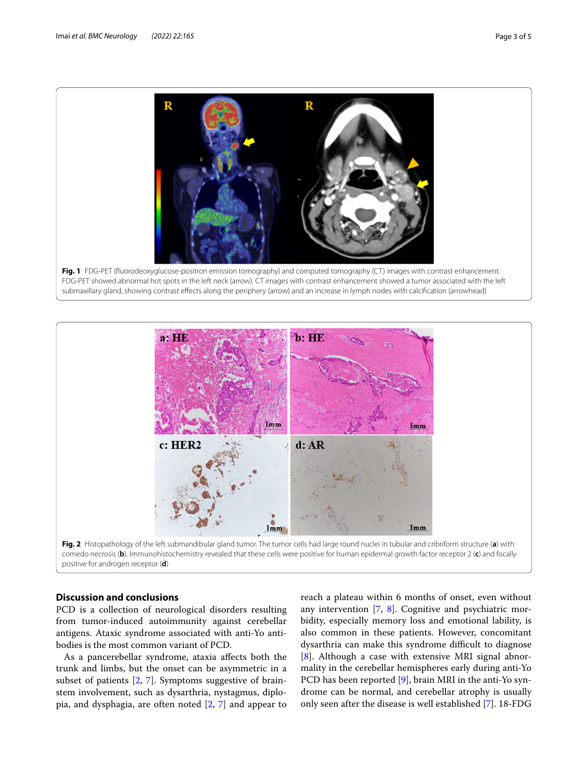

<span id="page-2-0"></span>

## <span id="page-2-1"></span>**Discussion and conclusions**

PCD is a collection of neurological disorders resulting from tumor-induced autoimmunity against cerebellar antigens. Ataxic syndrome associated with anti-Yo antibodies is the most common variant of PCD.

As a pancerebellar syndrome, ataxia afects both the trunk and limbs, but the onset can be asymmetric in a subset of patients [\[2](#page-4-1), [7\]](#page-4-6). Symptoms suggestive of brainstem involvement, such as dysarthria, nystagmus, diplopia, and dysphagia, are often noted [[2,](#page-4-1) [7](#page-4-6)] and appear to reach a plateau within 6 months of onset, even without any intervention [[7,](#page-4-6) [8\]](#page-4-7). Cognitive and psychiatric morbidity, especially memory loss and emotional lability, is also common in these patients. However, concomitant dysarthria can make this syndrome difficult to diagnose [[8\]](#page-4-7). Although a case with extensive MRI signal abnormality in the cerebellar hemispheres early during anti-Yo PCD has been reported [\[9](#page-4-8)], brain MRI in the anti-Yo syndrome can be normal, and cerebellar atrophy is usually only seen after the disease is well established [\[7](#page-4-6)]. 18-FDG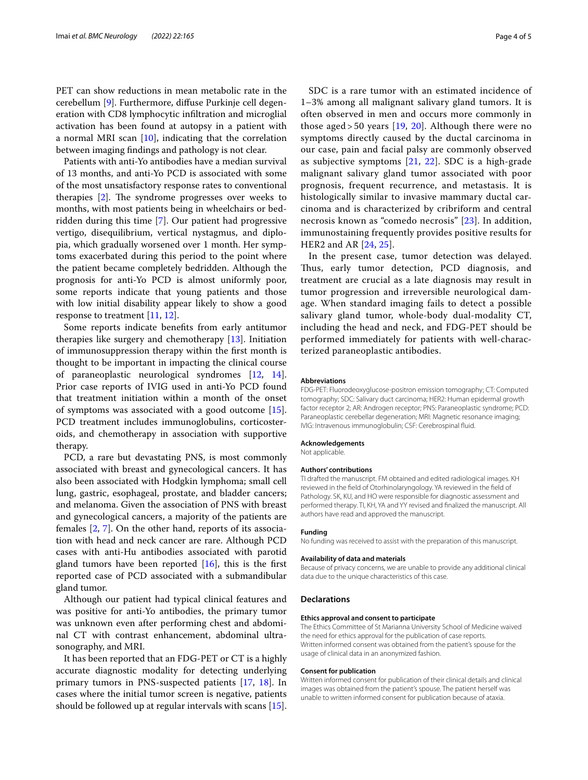PET can show reductions in mean metabolic rate in the cerebellum [[9\]](#page-4-8). Furthermore, difuse Purkinje cell degeneration with CD8 lymphocytic infltration and microglial activation has been found at autopsy in a patient with a normal MRI scan [[10](#page-4-9)], indicating that the correlation between imaging fndings and pathology is not clear.

Patients with anti-Yo antibodies have a median survival of 13 months, and anti-Yo PCD is associated with some of the most unsatisfactory response rates to conventional therapies  $[2]$  $[2]$ . The syndrome progresses over weeks to months, with most patients being in wheelchairs or bedridden during this time [\[7](#page-4-6)]. Our patient had progressive vertigo, disequilibrium, vertical nystagmus, and diplopia, which gradually worsened over 1 month. Her symptoms exacerbated during this period to the point where the patient became completely bedridden. Although the prognosis for anti-Yo PCD is almost uniformly poor, some reports indicate that young patients and those with low initial disability appear likely to show a good response to treatment [[11,](#page-4-10) [12](#page-4-11)].

Some reports indicate benefts from early antitumor therapies like surgery and chemotherapy [[13](#page-4-12)]. Initiation of immunosuppression therapy within the frst month is thought to be important in impacting the clinical course of paraneoplastic neurological syndromes [\[12](#page-4-11), [14](#page-4-13)]. Prior case reports of IVIG used in anti-Yo PCD found that treatment initiation within a month of the onset of symptoms was associated with a good outcome [\[15](#page-4-14)]. PCD treatment includes immunoglobulins, corticosteroids, and chemotherapy in association with supportive therapy.

PCD, a rare but devastating PNS, is most commonly associated with breast and gynecological cancers. It has also been associated with Hodgkin lymphoma; small cell lung, gastric, esophageal, prostate, and bladder cancers; and melanoma. Given the association of PNS with breast and gynecological cancers, a majority of the patients are females [[2,](#page-4-1) [7](#page-4-6)]. On the other hand, reports of its association with head and neck cancer are rare. Although PCD cases with anti-Hu antibodies associated with parotid gland tumors have been reported  $[16]$  $[16]$ , this is the first reported case of PCD associated with a submandibular gland tumor.

Although our patient had typical clinical features and was positive for anti-Yo antibodies, the primary tumor was unknown even after performing chest and abdominal CT with contrast enhancement, abdominal ultrasonography, and MRI.

It has been reported that an FDG-PET or CT is a highly accurate diagnostic modality for detecting underlying primary tumors in PNS-suspected patients [\[17](#page-4-16), [18](#page-4-17)]. In cases where the initial tumor screen is negative, patients should be followed up at regular intervals with scans [\[15](#page-4-14)].

SDC is a rare tumor with an estimated incidence of 1–3% among all malignant salivary gland tumors. It is often observed in men and occurs more commonly in those aged > 50 years [[19,](#page-4-18) [20\]](#page-4-19). Although there were no symptoms directly caused by the ductal carcinoma in our case, pain and facial palsy are commonly observed as subjective symptoms [[21](#page-4-20), [22\]](#page-4-21). SDC is a high-grade malignant salivary gland tumor associated with poor prognosis, frequent recurrence, and metastasis. It is histologically similar to invasive mammary ductal carcinoma and is characterized by cribriform and central necrosis known as "comedo necrosis" [\[23](#page-4-22)]. In addition, immunostaining frequently provides positive results for HER2 and AR [[24](#page-4-23), [25](#page-4-24)].

In the present case, tumor detection was delayed. Thus, early tumor detection, PCD diagnosis, and treatment are crucial as a late diagnosis may result in tumor progression and irreversible neurological damage. When standard imaging fails to detect a possible salivary gland tumor, whole-body dual-modality CT, including the head and neck, and FDG-PET should be performed immediately for patients with well-characterized paraneoplastic antibodies.

#### **Abbreviations**

FDG-PET: Fluorodeoxyglucose-positron emission tomography; CT: Computed tomography; SDC: Salivary duct carcinoma; HER2: Human epidermal growth factor receptor 2; AR: Androgen receptor; PNS: Paraneoplastic syndrome; PCD: Paraneoplastic cerebellar degeneration; MRI: Magnetic resonance imaging; IVIG: Intravenous immunoglobulin; CSF: Cerebrospinal fuid.

#### **Acknowledgements**

Not applicable.

# **Authors' contributions**

TI drafted the manuscript. FM obtained and edited radiological images. KH reviewed in the feld of Otorhinolaryngology. YA reviewed in the feld of Pathology. SK, KU, and HO were responsible for diagnostic assessment and performed therapy. TI, KH, YA and YY revised and fnalized the manuscript. All authors have read and approved the manuscript.

#### **Funding**

No funding was received to assist with the preparation of this manuscript.

#### **Availability of data and materials**

Because of privacy concerns, we are unable to provide any additional clinical data due to the unique characteristics of this case.

#### **Declarations**

#### **Ethics approval and consent to participate**

The Ethics Committee of St Marianna University School of Medicine waived the need for ethics approval for the publication of case reports. Written informed consent was obtained from the patient's spouse for the usage of clinical data in an anonymized fashion.

#### **Consent for publication**

Written informed consent for publication of their clinical details and clinical images was obtained from the patient's spouse. The patient herself was unable to written informed consent for publication because of ataxia.